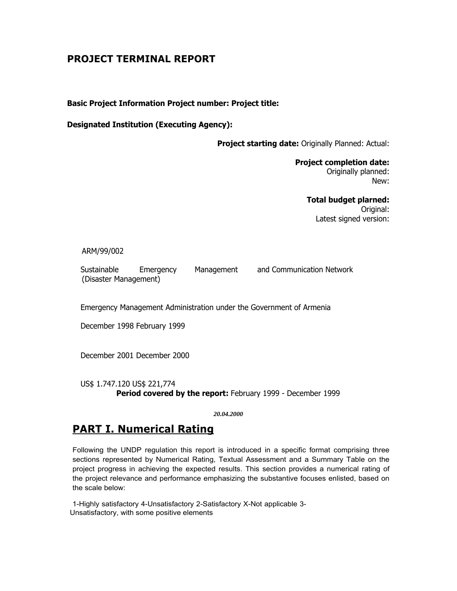# **PROJECT TERMINAL REPORT**

**Basic Project Information Project number: Project title:**

**Designated Institution (Executing Agency):**

**Project starting date:** Originally Planned: Actual:

**Project completion date:** Originally planned: New:

> **Total budget plarned:** Original: Latest signed version:

# ARM/99/002

Sustainable Emergency Management and Communication Network (Disaster Management)

Emergency Management Administration under the Government of Armenia

December 1998 February 1999

December 2001 December 2000

US\$ 1.747.120 US\$ 221,774 **Period covered by the report:** February 1999 - December 1999

*20.04.2000*

# **PART I. Numerical Rating**

Following the UNDP regulation this report is introduced in a specific format comprising three sections represented by Numerical Rating, Textual Assessment and a Summary Table on the project progress in achieving the expected results. This section provides a numerical rating of the project relevance and performance emphasizing the substantive focuses enlisted, based on the scale below:

1-Highly satisfactory 4-Unsatisfactory 2-Satisfactory X-Not applicable 3- Unsatisfactory, with some positive elements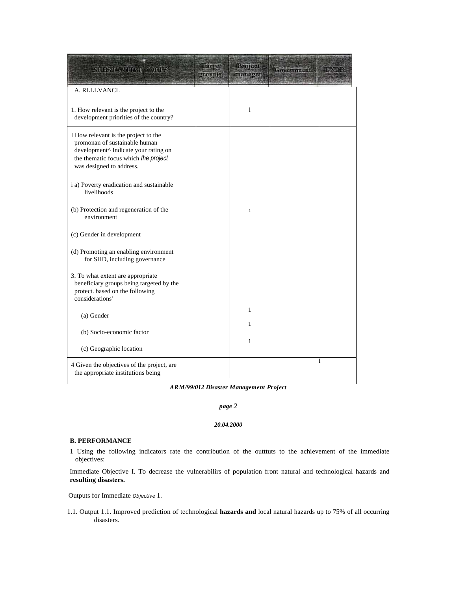| SUISTRATION COCUS                                                                                                                                                                 | Harpet<br>group(6) | Project<br>manager | Government |  |
|-----------------------------------------------------------------------------------------------------------------------------------------------------------------------------------|--------------------|--------------------|------------|--|
| A. RLLLVANCL                                                                                                                                                                      |                    |                    |            |  |
| 1. How relevant is the project to the<br>development priorities of the country?                                                                                                   |                    | 1                  |            |  |
| I How relevant is the project to the<br>promonan of sustainable human<br>development^ Indicate your rating on<br>the thematic focus which the project<br>was designed to address. |                    |                    |            |  |
| i a) Poverty eradication and sustainable<br>livelihoods                                                                                                                           |                    |                    |            |  |
| (b) Protection and regeneration of the<br>environment                                                                                                                             |                    | $\mathbf{1}$       |            |  |
| (c) Gender in development                                                                                                                                                         |                    |                    |            |  |
| (d) Promoting an enabling environment<br>for SHD, including governance                                                                                                            |                    |                    |            |  |
| 3. To what extent are appropriate<br>beneficiary groups being targeted by the<br>protect. based on the following<br>considerations'                                               |                    |                    |            |  |
| (a) Gender                                                                                                                                                                        |                    | 1<br>1             |            |  |
| (b) Socio-economic factor                                                                                                                                                         |                    |                    |            |  |
| (c) Geographic location                                                                                                                                                           |                    | $\mathbf{1}$       |            |  |
| 4 Given the objectives of the project, are<br>the appropriate institutions being                                                                                                  |                    |                    |            |  |

## *ARM/99/012 Disaster Management Project*

#### *page 2*

#### *20.04.2000*

#### **B. PERFORMANCE**

1 Using the following indicators rate the contribution of the outttuts to the achievement of the immediate objectives:

Immediate Objective I. To decrease the vulnerabilirs of population front natural and technological hazards and **resulting disasters.**

Outputs for Immediate *Objective* 1.

1.1. Output 1.1. Improved prediction of technological **hazards and** local natural hazards up to 75% of all occurring disasters.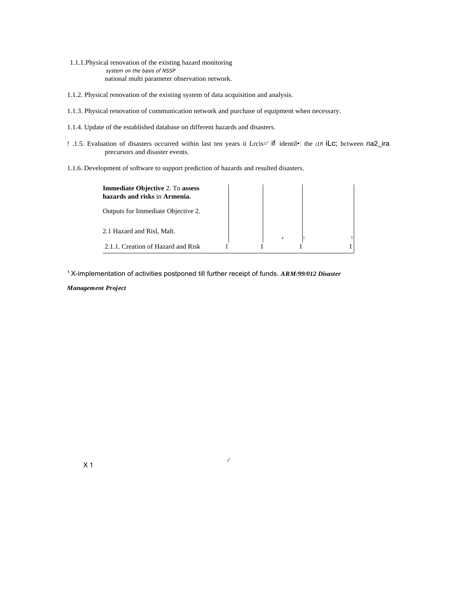1.1.1.Physical renovation of the existing hazard monitoring *system on the basis of NSSP* national multi parameter observation network.

- 1.1.2. Physical renovation of the existing system of data acquisition and analysis.
- 1.1.3. Physical renovation of communication network and purchase of equipment when necessary.
- 1.1.4. Update of the established database on different hazards and disasters.
- ! .1.5. Evaluation of disasters occurred within last ten years ii Lrcis=' if, identil•: the *i1fl* iLc; bctween ria2\_ira precursors and disaster events.
- 1.1.6. Development of software to support prediction of hazards and resulted disasters.

| <b>Immediate Objective 2. To assess</b><br>hazards and risks in Armenia. |  |   |  |  |
|--------------------------------------------------------------------------|--|---|--|--|
| Outputs for Immediate Objective 2.                                       |  |   |  |  |
| 2.1 Hazard and Risl, Malt.                                               |  | x |  |  |
| 2.1.1. Creation of Hazard and Risk                                       |  |   |  |  |

 $\mathbf{x}^\mathbf{j}$ i

<sup>1</sup>X-implementation of activities postponed till further receipt of funds. *ARM/99/012 Disaster*

## *Management Project*

X 1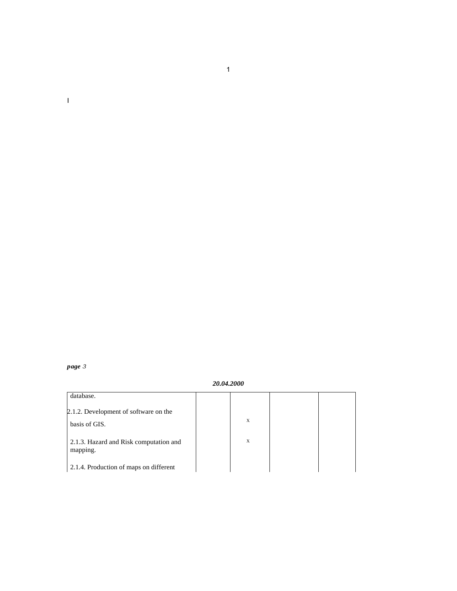*page 3*

I

*20.04.2000*

| database.                                          |   |  |
|----------------------------------------------------|---|--|
| 2.1.2. Development of software on the              |   |  |
| basis of GIS.                                      | X |  |
| 2.1.3. Hazard and Risk computation and<br>mapping. | X |  |
| 2.1.4. Production of maps on different             |   |  |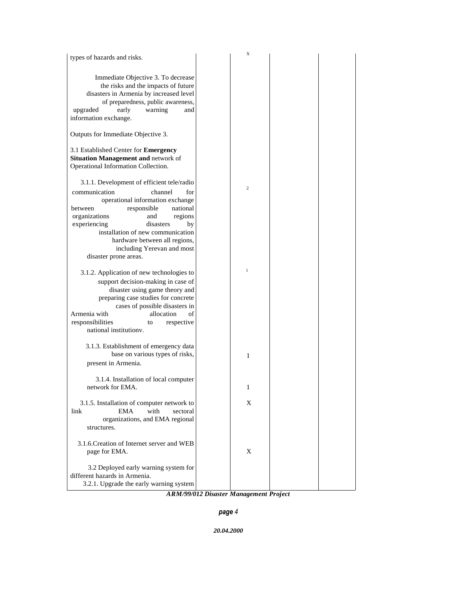|                                                                                                                                                                                                                                                                                                                                   | X |  |
|-----------------------------------------------------------------------------------------------------------------------------------------------------------------------------------------------------------------------------------------------------------------------------------------------------------------------------------|---|--|
| types of hazards and risks.                                                                                                                                                                                                                                                                                                       |   |  |
| Immediate Objective 3. To decrease<br>the risks and the impacts of future<br>disasters in Armenia by increased level<br>of preparedness, public awareness,<br>upgraded<br>warning<br>early<br>and<br>information exchange.                                                                                                        |   |  |
| Outputs for Immediate Objective 3.                                                                                                                                                                                                                                                                                                |   |  |
| 3.1 Established Center for Emergency<br>Situation Management and network of<br>Operational Information Collection.                                                                                                                                                                                                                |   |  |
| 3.1.1. Development of efficient tele/radio<br>communication<br>channel<br>for<br>operational information exchange<br>responsible<br>national<br>between<br>organizations<br>and<br>regions<br>experiencing<br>disasters<br>by<br>installation of new communication<br>hardware between all regions,<br>including Yerevan and most | 2 |  |
| disaster prone areas.                                                                                                                                                                                                                                                                                                             |   |  |
| 3.1.2. Application of new technologies to<br>support decision-making in case of<br>disaster using game theory and<br>preparing case studies for concrete<br>cases of possible disasters in<br>Armenia with<br>allocation<br>of<br>responsibilities<br>respective<br>to<br>national institutiony.                                  | 1 |  |
| 3.1.3. Establishment of emergency data<br>base on various types of risks,<br>present in Armenia.                                                                                                                                                                                                                                  | 1 |  |
| 3.1.4. Installation of local computer<br>network for EMA.                                                                                                                                                                                                                                                                         | 1 |  |
| 3.1.5. Installation of computer network to<br>link<br>with<br>EMA<br>sectoral<br>organizations, and EMA regional<br>structures.                                                                                                                                                                                                   | X |  |
| 3.1.6. Creation of Internet server and WEB<br>page for EMA.                                                                                                                                                                                                                                                                       | X |  |
| 3.2 Deployed early warning system for<br>different hazards in Armenia.<br>3.2.1. Upgrade the early warning system                                                                                                                                                                                                                 |   |  |

*ARM/99/012 Disaster Management Project*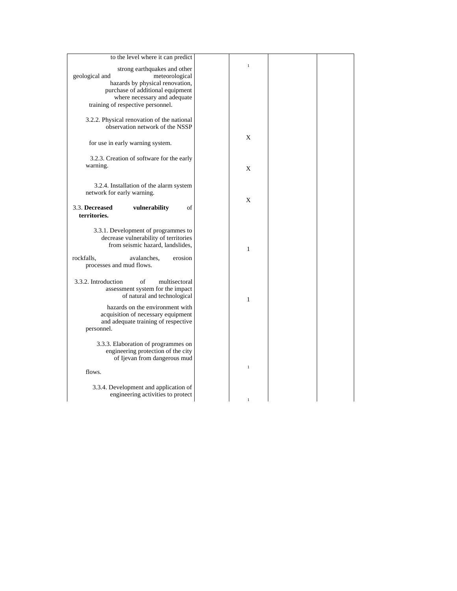| to the level where it can predict          |              |  |
|--------------------------------------------|--------------|--|
| strong earthquakes and other               | $\mathbf{1}$ |  |
| geological and<br>meteorological           |              |  |
| hazards by physical renovation,            |              |  |
| purchase of additional equipment           |              |  |
|                                            |              |  |
| where necessary and adequate               |              |  |
| training of respective personnel.          |              |  |
|                                            |              |  |
| 3.2.2. Physical renovation of the national |              |  |
| observation network of the NSSP            |              |  |
|                                            | X            |  |
| for use in early warning system.           |              |  |
|                                            |              |  |
| 3.2.3. Creation of software for the early  |              |  |
|                                            |              |  |
| warning.                                   | X            |  |
|                                            |              |  |
| 3.2.4. Installation of the alarm system    |              |  |
|                                            |              |  |
| network for early warning.                 |              |  |
|                                            | X            |  |
| 3.3. Decreased<br>vulnerability<br>of      |              |  |
| territories.                               |              |  |
|                                            |              |  |
| 3.3.1. Development of programmes to        |              |  |
| decrease vulnerability of territories      |              |  |
| from seismic hazard, landslides,           |              |  |
|                                            | 1            |  |
| rockfalls,<br>avalanches,<br>erosion       |              |  |
| processes and mud flows.                   |              |  |
|                                            |              |  |
| 3.3.2. Introduction<br>multisectoral<br>of |              |  |
| assessment system for the impact           |              |  |
|                                            |              |  |
| of natural and technological               | 1            |  |
| hazards on the environment with            |              |  |
| acquisition of necessary equipment         |              |  |
| and adequate training of respective        |              |  |
| personnel.                                 |              |  |
|                                            |              |  |
| 3.3.3. Elaboration of programmes on        |              |  |
| engineering protection of the city         |              |  |
| of Ijevan from dangerous mud               |              |  |
|                                            |              |  |
| flows.                                     | $\mathbf{1}$ |  |
|                                            |              |  |
|                                            |              |  |
| 3.3.4. Development and application of      |              |  |
| engineering activities to protect          |              |  |
|                                            | 1            |  |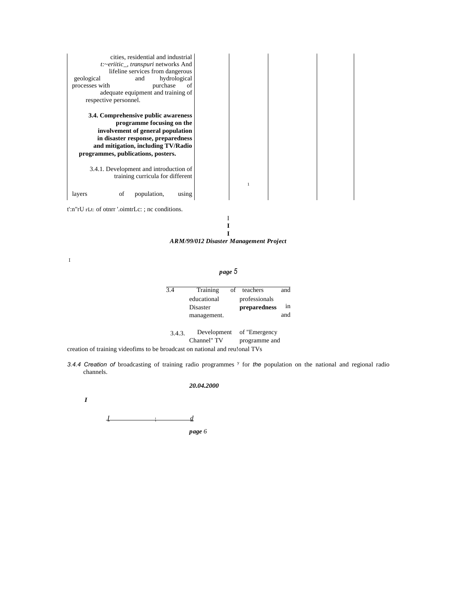| cities, residential and industrial<br>t:~eriitic_, transpuri networks And<br>lifeline services from dangerous |  |
|---------------------------------------------------------------------------------------------------------------|--|
| hydrological<br>geological<br>and                                                                             |  |
| processes with<br>purchase<br>of                                                                              |  |
| adequate equipment and training of                                                                            |  |
| respective personnel.                                                                                         |  |
|                                                                                                               |  |
| 3.4. Comprehensive public awareness                                                                           |  |
| programme focusing on the                                                                                     |  |
| involvement of general population                                                                             |  |
| in disaster response, preparedness                                                                            |  |
| and mitigation, including TV/Radio                                                                            |  |
| programmes, publications, posters.                                                                            |  |
| 3.4.1. Development and introduction of<br>training curricula for different                                    |  |
|                                                                                                               |  |
| population,<br>of<br>layers<br>using                                                                          |  |
|                                                                                                               |  |
| $t':n''rU$ rLt: of other '.oimetrLc: ; nc conditions.                                                         |  |

I **I I**

*ARM/99/012 Disaster Management Project*

I

*page 5*

| 3.4    | Training                               | of teachers   | and |
|--------|----------------------------------------|---------------|-----|
|        | educational                            | professionals |     |
|        | Disaster                               | preparedness  | in  |
|        | management.                            |               | and |
|        |                                        |               |     |
| 3.4.3. | Development                            | of "Emergency |     |
|        | Channel" TV                            | programme and |     |
|        | hroadcast on national and reulonal TVs |               |     |

creation of training videofims to be broadcast on national and reu!onal TVs

3.4.4 *Creation* of broadcasting of training radio programmes <sup>y</sup> for the population on the national and regional radio channels.

#### *20.04.2000*

*I*

*I* <sup>I</sup> *d*

*page 6*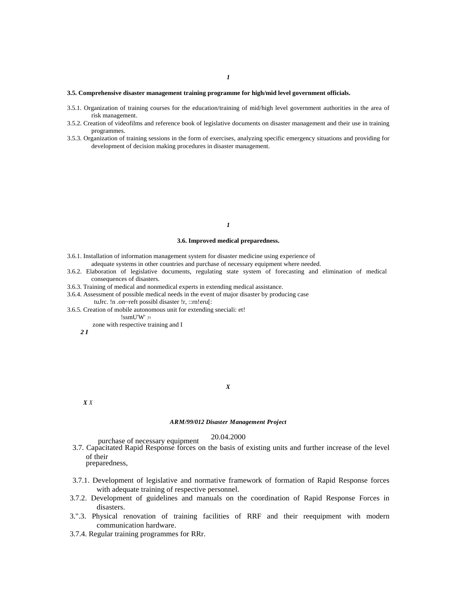#### **3.5. Comprehensive disaster management training programme for high/mid level government officials.**

- 3.5.1. Organization of training courses for the education/training of mid/high level government authorities in the area of risk management.
- 3.5.2. Creation of videofilms and reference book of legislative documents on disaster management and their use in training programmes.
- 3.5.3. Organization of training sessions in the form of exercises, analyzing specific emergency situations and providing for development of decision making procedures in disaster management.

#### *1*

#### **3.6. Improved medical preparedness.**

- 3.6.1. Installation of information management system for disaster medicine using experience of
- adequate systems in other countries and purchase of necessary equipment where needed.
- 3.6.2. Elaboration of legislative documents, regulating state system of forecasting and elimination of medical consequences of disasters.
- 3.6.3. Training of medical and nonmedical experts in extending medical assistance.
- 3.6.4. Assessment of possible medical needs in the event of major disaster by producing case tuJrc. !n .on~reft possibl disaster !r, ::rn!eru[:
- 3.6.5. Creation of mobile autonomous unit for extending sneciali: et!
	- !ssmU'W' ;71

zone with respective training and I

*2 I*

#### *X*

*X X*

#### *ARM/99/012 Disaster Management Project*

# 20.04.2000 purchase of necessary equipment

3.7. Capacitated Rapid Response forces on the basis of existing units and further increase of the level of their

preparedness,

- 3.7.1. Development of legislative and normative framework of formation of Rapid Response forces with adequate training of respective personnel.
- 3.7.2. Development of guidelines and manuals on the coordination of Rapid Response Forces in disasters.
- 3.".3. Physical renovation of training facilities of RRF and their reequipment with modern communication hardware.
- 3.7.4. Regular training programmes for RRr.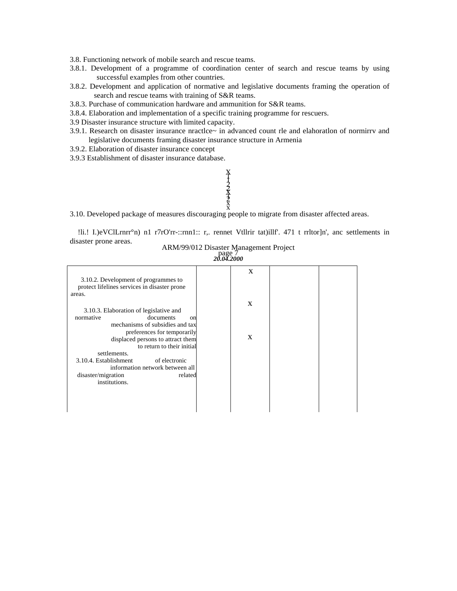3.8. Functioning network of mobile search and rescue teams.

- 3.8.1. Development of a programme of coordination center of search and rescue teams by using successful examples from other countries.
- 3.8.2. Development and application of normative and legislative documents framing the operation of search and rescue teams with training of S&R teams.
- 3.8.3. Purchase of communication hardware and ammunition for S&R teams.
- 3.8.4. Elaboration and implementation of a specific training programme for rescuers.
- 3.9 Disaster insurance structure with limited capacity.
- 3.9.1. Research on disaster insurance nractlce~ in advanced count rle and elahoratlon of normirrv and legislative documents framing disaster insurance structure in Armenia
- 3.9.2. Elaboration of disaster insurance concept
- 3.9.3 Establishment of disaster insurance database.

# **XHAVXA**<br>XHAVXA

3.10. Developed package of measures discouraging people to migrate from disaster affected areas.

!li.! I.)eVClLrnrr°n) n1 r7rO'rr-::rnn1:: r,. rennet Vtllrir tat)illf'. 471 t rrltor]n', anc settlements in disaster prone areas.

ARM/99/012 Disaster Management Project page 7 *20.04.2000*

| 3.10.2. Development of programmes to<br>protect lifelines services in disaster prone | X |  |
|--------------------------------------------------------------------------------------|---|--|
| areas.                                                                               |   |  |
| 3.10.3. Elaboration of legislative and                                               | X |  |
| normative<br>documents<br>$_{\rm on}$                                                |   |  |
| mechanisms of subsidies and tax<br>preferences for temporarily                       | X |  |
| displaced persons to attract them<br>to return to their initial<br>settlements.      |   |  |
| 3.10.4. Establishment<br>of electronic                                               |   |  |
| information network between all                                                      |   |  |
| disaster/migration<br>related<br>institutions.                                       |   |  |
|                                                                                      |   |  |
|                                                                                      |   |  |
|                                                                                      |   |  |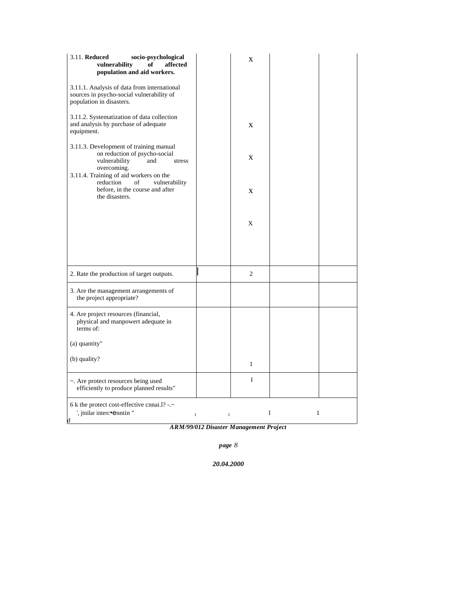| 3.11. Reduced<br>socio-psychological<br>affected<br>vulnerability<br>of<br>population and aid workers.                          |        | $\mathbf{x}$   |   |              |
|---------------------------------------------------------------------------------------------------------------------------------|--------|----------------|---|--------------|
| 3.11.1. Analysis of data from international<br>sources in psycho-social vulnerability of<br>population in disasters.            |        |                |   |              |
| 3.11.2. Systematization of data collection<br>and analysis by purchase of adequate<br>equipment.                                |        | $\mathbf X$    |   |              |
| 3.11.3. Development of training manual<br>on reduction of psycho-social<br>vulnerability<br>and<br>stress<br>overcoming.        |        | $\mathbf{X}$   |   |              |
| 3.11.4. Training of aid workers on the<br>reduction<br>of<br>vulnerability<br>before, in the course and after<br>the disasters. |        | $\mathbf{X}$   |   |              |
|                                                                                                                                 |        | X              |   |              |
|                                                                                                                                 |        |                |   |              |
| 2. Rate the production of target outputs.                                                                                       |        | $\overline{c}$ |   |              |
| 3. Are the management arrangements of<br>the project appropriate?                                                               |        |                |   |              |
| 4. Are project resources (financial,<br>physical and manpowert adequate in<br>terms of:                                         |        |                |   |              |
| (a) quantity"                                                                                                                   |        |                |   |              |
| (b) quality?                                                                                                                    |        | $\mathbf{1}$   |   |              |
| ~. Are protect resources being used<br>efficiently to produce planned results"                                                  |        | I              |   |              |
| 6 k the protect cost-effective cnnai.1? -.~<br>', jtnilar interc•enntin "<br>d                                                  | I<br>I |                | I | $\mathbf{1}$ |

*ARM/99/012 Disaster Management Project*

*page 8*

*20.04.2000*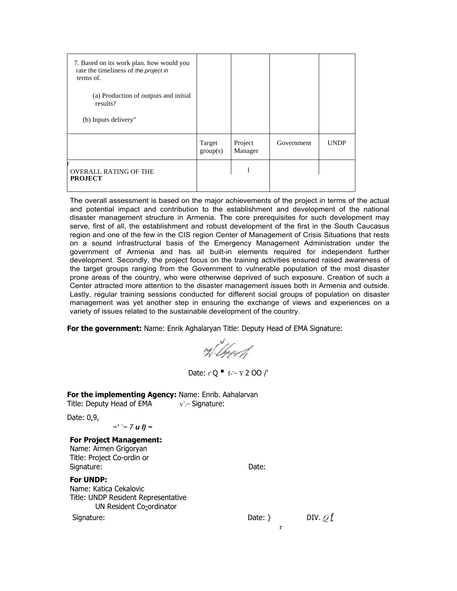| 7. Based on its work plan. how would you<br>rate the timeliness of the project in<br>terms of. |                    |                    |            |             |
|------------------------------------------------------------------------------------------------|--------------------|--------------------|------------|-------------|
| (a) Production of outputs and initial<br>results?                                              |                    |                    |            |             |
| (b) Inputs delivery"                                                                           |                    |                    |            |             |
|                                                                                                | Target<br>group(s) | Project<br>Manager | Government | <b>UNDP</b> |
| <b>OVERALL RATING OF THE</b><br><b>PROJECT</b>                                                 |                    |                    |            |             |

The overall assessment is based on the major achievements of the project in terms of the actual and potential impact and contribution to the establishment and development of the national disaster management structure in Armenia. The core prerequisites for such development may serve, first of all, the establishment and robust development of the first in the South Caucasus region and one of the few in the CIS region Center of Management of Crisis Situations that rests on a sound infrastructural basis of the Emergency Management Administration under the government of Armenia and has all built-in elements required for independent further development. Secondly, the project focus on the training activities ensured raised awareness of the target groups ranging from the Government to vulnerable population of the most disaster prone areas of the country, who were otherwise deprived of such exposure. Creation of such a Center attracted more attention to the disaster management issues both in Armenia and outside. Lastly, regular training sessions conducted for different social groups of population on disaster management was yet another step in ensuring the exchange of views and experiences on a variety of issues related to the sustainable development of the country.

**For the government:** Name: Enrik Aghalaryan Title: Deputy Head of EMA Signature:

H. Und

Date: r' Q • f-'~ Y 2 OO /'

**For the implementing Agency:** Name: Enrib. Aahalarvan Title: Deputy Head of EMA  $v \sim$  Signature:

Date: 0,9,

*~' `~ 7 u I) ~*

**For Project Management:** Name: Armen Grigoryan Title: Project Co-ordin or Signature: Date: Date: Date: Date: Date: Date: Date: Date: Date: Date: Date: Date: Date: Date: Date: Date: Date: Date: Date: Date: Date: Date: Date: Date: Date: Date: Date: Date: Date: Date: Date: Date: Date: Date: Date: D

**For UNDP:**

Name: Katica Cekalovic Title: UNDP Resident Representative UN Resident Co-ordinator

Signature: Date: } DIV. *Q f* DIV. *Q f* 

r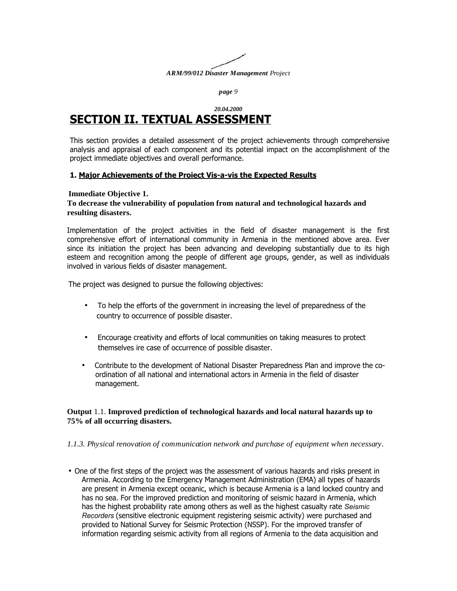

*page 9*

# *20.04.2000* **SECTION II. TEXTUAL ASSESSMENT**

This section provides a detailed assessment of the project achievements through comprehensive analysis and appraisal of each component and its potential impact on the accomplishment of the project immediate objectives and overall performance.

# **1. Major Achievements of the Proiect Vis-a-vis the Expected Results**

# **Immediate Objective 1.**

# **To decrease the vulnerability of population from natural and technological hazards and resulting disasters.**

Implementation of the project activities in the field of disaster management is the first comprehensive effort of international community in Armenia in the mentioned above area. Ever since its initiation the project has been advancing and developing substantially due to its high esteem and recognition among the people of different age groups, gender, as well as individuals involved in various fields of disaster management.

The project was designed to pursue the following objectives:

- To help the efforts of the government in increasing the level of preparedness of the country to occurrence of possible disaster.
- Encourage creativity and efforts of local communities on taking measures to protect themselves ire case of occurrence of possible disaster.
- Contribute to the development of National Disaster Preparedness Plan and improve the coordination of all national and international actors in Armenia in the field of disaster management.

# **Output** 1.1. **Improved prediction of technological hazards and local natural hazards up to 75% of all occurring disasters.**

## *1.1.3. Physical renovation of communication network and purchase of equipment when necessary.*

• One of the first steps of the project was the assessment of various hazards and risks present in Armenia. According to the Emergency Management Administration (EMA) all types of hazards are present in Armenia except oceanic, which is because Armenia is a land locked country and has no sea. For the improved prediction and monitoring of seismic hazard in Armenia, which has the highest probability rate among others as well as the highest casualty rate *Seismic Recorders* (sensitive electronic equipment registering seismic activity) were purchased and provided to National Survey for Seismic Protection (NSSP). For the improved transfer of information regarding seismic activity from all regions of Armenia to the data acquisition and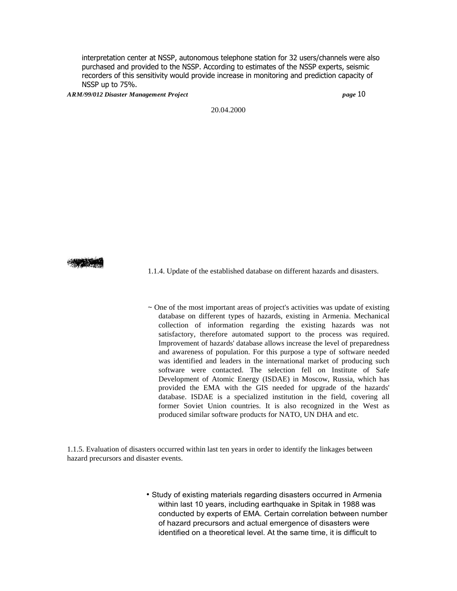interpretation center at NSSP, autonomous telephone station for 32 users/channels were also purchased and provided to the NSSP. According to estimates of the NSSP experts, seismic recorders of this sensitivity would provide increase in monitoring and prediction capacity of NSSP up to 75%.

*ARM/99/012 Disaster Management Project page* 10

20.04.2000

1.1.4. Update of the established database on different hazards and disasters.

 $\sim$  One of the most important areas of project's activities was update of existing database on different types of hazards, existing in Armenia. Mechanical collection of information regarding the existing hazards was not satisfactory, therefore automated support to the process was required. Improvement of hazards' database allows increase the level of preparedness and awareness of population. For this purpose a type of software needed was identified and leaders in the international market of producing such software were contacted. The selection fell on Institute of Safe Development of Atomic Energy (ISDAE) in Moscow, Russia, which has provided the EMA with the GIS needed for upgrade of the hazards' database. ISDAE is a specialized institution in the field, covering all former Soviet Union countries. It is also recognized in the West as produced similar software products for NATO, UN DHA and etc.

1.1.5. Evaluation of disasters occurred within last ten years in order to identify the linkages between hazard precursors and disaster events.

> • Study of existing materials regarding disasters occurred in Armenia within last 10 years, including earthquake in Spitak in 1988 was conducted by experts of EMA. Certain correlation between number of hazard precursors and actual emergence of disasters were identified on a theoretical level. At the same time, it is difficult to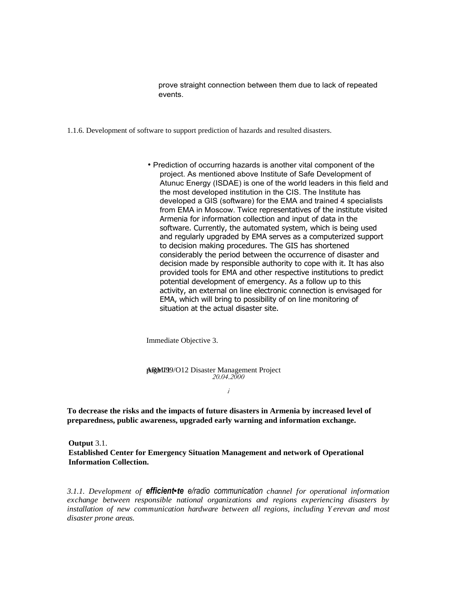prove straight connection between them due to lack of repeated events.

- 1.1.6. Development of software to support prediction of hazards and resulted disasters.
	- Prediction of occurring hazards is another vital component of the project. As mentioned above Institute of Safe Development of Atunuc Energy (ISDAE) is one of the world leaders in this field and the most developed institution in the CIS. The Institute has developed a GIS (software) for the EMA and trained 4 specialists from EMA in Moscow. Twice representatives of the institute visited Armenia for information collection and input of data in the software. Currently, the automated system, which is being used and regularly upgraded by EMA serves as a computerized support to decision making procedures. The GIS has shortened considerably the period between the occurrence of disaster and decision made by responsible authority to cope with it. It has also provided tools for EMA and other respective institutions to predict potential development of emergency. As a follow up to this activity, an external on line electronic connection is envisaged for EMA, which will bring to possibility of on line monitoring of situation at the actual disaster site.

Immediate Objective 3.

**ARM199/O12 Disaster Management Project** *20.04.2000*

*i*

**To decrease the risks and the impacts of future disasters in Armenia by increased level of preparedness, public awareness, upgraded early warning and information exchange.**

**Output** 3.1. **Established Center for Emergency Situation Management and network of Operational Information Collection.**

*3.1.1. Development of efficient•te e/radio communication channel for operational information exchange between responsible national organizations and regions experiencing disasters by installation of new communication hardware between all regions, including Yerevan and most disaster prone areas.*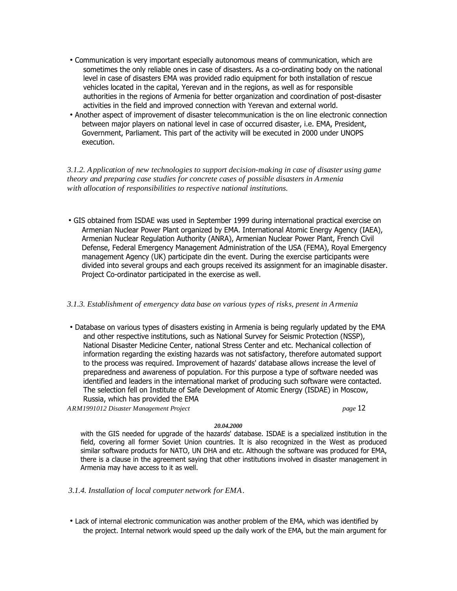- Communication is very important especially autonomous means of communication, which are sometimes the only reliable ones in case of disasters. As a co-ordinating body on the national level in case of disasters EMA was provided radio equipment for both installation of rescue vehicles located in the capital, Yerevan and in the regions, as well as for responsible authorities in the regions of Armenia for better organization and coordination of post-disaster activities in the field and improved connection with Yerevan and external world.
- Another aspect of improvement of disaster telecommunication is the on line electronic connection between major players on national level in case of occurred disaster, i.e. EMA, President, Government, Parliament. This part of the activity will be executed in 2000 under UNOPS execution.

*3.1.2. Application of new technologies to support decision-making in case of disaster using game theory and preparing case studies for concrete cases of possible disasters in Armenia with allocation of responsibilities to respective national institutions.*

• GIS obtained from ISDAE was used in September 1999 during international practical exercise on Armenian Nuclear Power Plant organized by EMA. International Atomic Energy Agency (IAEA), Armenian Nuclear Regulation Authority (ANRA), Armenian Nuclear Power Plant, French Civil Defense, Federal Emergency Management Administration of the USA (FEMA), Royal Emergency management Agency (UK) participate din the event. During the exercise participants were divided into several groups and each groups received its assignment for an imaginable disaster. Project Co-ordinator participated in the exercise as well.

## *3.1.3. Establishment of emergency data base on various types of risks, present in Armenia*

• Database on various types of disasters existing in Armenia is being regularly updated by the EMA and other respective institutions, such as National Survey for Seismic Protection (NSSP), National Disaster Medicine Center, national Stress Center and etc. Mechanical collection of information regarding the existing hazards was not satisfactory, therefore automated support to the process was required. Improvement of hazards' database allows increase the level of preparedness and awareness of population. For this purpose a type of software needed was identified and leaders in the international market of producing such software were contacted. The selection fell on Institute of Safe Development of Atomic Energy (ISDAE) in Moscow, Russia, which has provided the EMA

*ARM1991012 Disaster Management Project page* 12

## *20.04.2000*

with the GIS needed for upgrade of the hazards' database. ISDAE is a specialized institution in the field, covering all former Soviet Union countries. It is also recognized in the West as produced similar software products for NATO, UN DHA and etc. Although the software was produced for EMA, there is a clause in the agreement saying that other institutions involved in disaster management in Armenia may have access to it as well.

- *3.1.4. Installation of local computer network for EMA.*
- Lack of internal electronic communication was another problem of the EMA, which was identified by the project. Internal network would speed up the daily work of the EMA, but the main argument for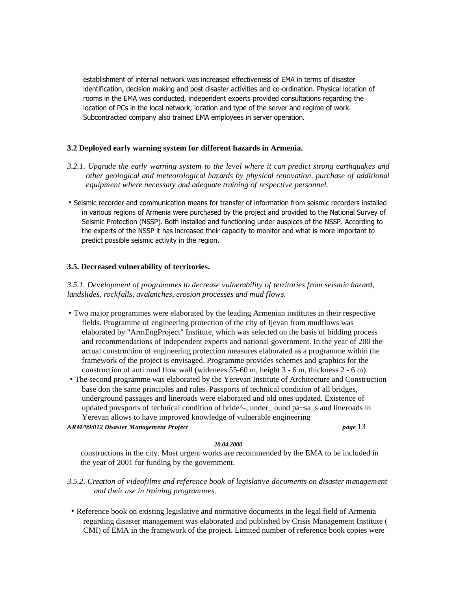establishment of internal network was increased effectiveness of EMA in terms of disaster identification, decision making and post disaster activities and co-ordination. Physical location of rooms in the EMA was conducted, independent experts provided consultations regarding the location of PCs in the local network, location and type of the server and regime of work. Subcontracted company also trained EMA employees in server operation.

## **3.2 Deployed early warning system for different hazards in Armenia.**

- *3.2.1. Upgrade the early warning system to the level where it can predict strong earthquakes and other geological and meteorological hazards by physical renovation, purchase of additional equipment where necessary and adequate training of respective personnel.*
- Seismic recorder and communication means for transfer of information from seismic recorders installed in various regions of Armenia were purchased by the project and provided to the National Survey of Seismic Protection (NSSP). Both installed and functioning under auspices of the NSSP. According to the experts of the NSSP it has increased their capacity to monitor and what is more important to predict possible seismic activity in the region.

# **3.5. Decreased vulnerability of territories.**

*3.5.1. Development of programmes to decrease vulnerability of territories from seismic hazard, landslides, rockfalls, avalanches, erosion processes and mud flows.*

- Two major programmes were elaborated by the leading Armenian institutes in their respective fields. Programme of engineering protection of the city of Ijevan from mudflows was elaborated by "ArmEngProject" Institute, which was selected on the basis of bidding process and recommendations of independent experts and national government. In the year of 200 the actual construction of engineering protection measures elaborated as a programme within the framework of the project is envisaged. Programme provides schemes and graphics for the construction of anti mud flow wall (widenees 55-60 m, height 3 - 6 m, thickness 2 - 6 m).
- The second programme was elaborated by the Yerevan Institute of Architecture and Construction base don the same principles and rules. Passports of technical condition of all bridges, underground passages and lineroads were elaborated and old ones updated. Existence of updated puvsports of technical condition of bride<sup> $\lambda$ </sup>-, under  $\alpha$  ound pa~sa  $\alpha$  s and lineroads in Yerevan allows to have improved knowledge of vulnerable engineering

*ARM/99/012 Disaster Management Project page* 13

# *20.04.2000*

constructions in the city. Most urgent works are recommended by the EMA to be included in the year of 2001 for funding by the government.

- *3.5.2. Creation of videofilms and reference book of legislative documents on disaster management and their use in training programmes.*
- Reference book on existing legislative and normative documents in the legal field of Armenia regarding disaster management was elaborated and published by Crisis Management Institute ( CMI) of EMA in the framework of the project. Limited number of reference book copies were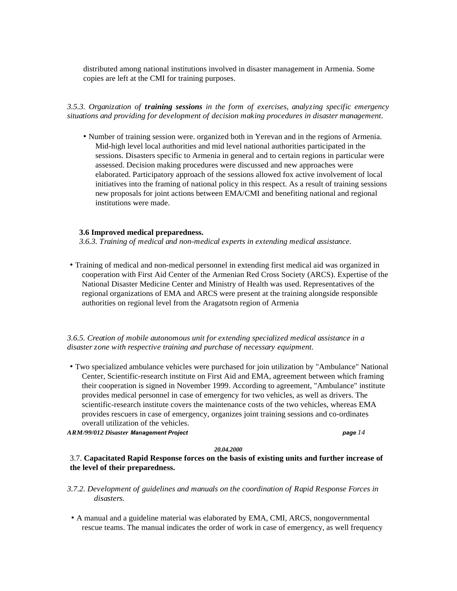distributed among national institutions involved in disaster management in Armenia. Some copies are left at the CMI for training purposes.

*3.5.3. Organization of training sessions in the form of exercises, analyzing specific emergency situations and providing for development of decision making procedures in disaster management.*

• Number of training session were. organized both in Yerevan and in the regions of Armenia. Mid-high level local authorities and mid level national authorities participated in the sessions. Disasters specific to Armenia in general and to certain regions in particular were assessed. Decision making procedures were discussed and new approaches were elaborated. Participatory approach of the sessions allowed fox active involvement of local initiatives into the framing of national policy in this respect. As a result of training sessions new proposals for joint actions between EMA/CMI and benefiting national and regional institutions were made.

## **3.6 Improved medical preparedness.**

*3.6.3. Training of medical and non-medical experts in extending medical assistance.*

• Training of medical and non-medical personnel in extending first medical aid was organized in cooperation with First Aid Center of the Armenian Red Cross Society (ARCS). Expertise of the National Disaster Medicine Center and Ministry of Health was used. Representatives of the regional organizations of EMA and ARCS were present at the training alongside responsible authorities on regional level from the Aragatsotn region of Armenia

*3.6.5. Creation of mobile autonomous unit for extending specialized medical assistance in a disaster zone with respective training and purchase of necessary equipment.*

• Two specialized ambulance vehicles were purchased for join utilization by "Ambulance" National Center, Scientific-research institute on First Aid and EMA, agreement between which framing their cooperation is signed in November 1999. According to agreement, "Ambulance" institute provides medical personnel in case of emergency for two vehicles, as well as drivers. The scientific-research institute covers the maintenance costs of the two vehicles, whereas EMA provides rescuers in case of emergency, organizes joint training sessions and co-ordinates overall utilization of the vehicles.

*ARM/99/012 Disaster Management Project page 14*

#### *20.04.2000*

3.7. **Capacitated Rapid Response forces on the basis of existing units and further increase of the level of their preparedness.**

- *3.7.2. Development of guidelines and manuals on the coordination of Rapid Response Forces in disasters.*
- A manual and a guideline material was elaborated by EMA, CMI, ARCS, nongovernmental rescue teams. The manual indicates the order of work in case of emergency, as well frequency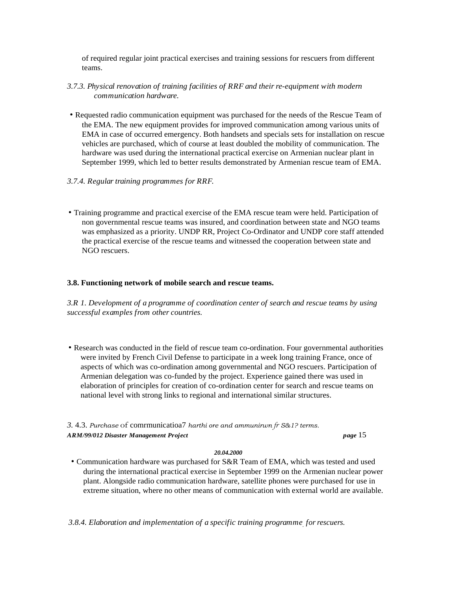of required regular joint practical exercises and training sessions for rescuers from different teams.

- *3.7.3. Physical renovation of training facilities of RRF and their re-equipment with modern communication hardware.*
- Requested radio communication equipment was purchased for the needs of the Rescue Team of the EMA. The new equipment provides for improved communication among various units of EMA in case of occurred emergency. Both handsets and specials sets for installation on rescue vehicles are purchased, which of course at least doubled the mobility of communication. The hardware was used during the international practical exercise on Armenian nuclear plant in September 1999, which led to better results demonstrated by Armenian rescue team of EMA.
- *3.7.4. Regular training programmes for RRF.*
- Training programme and practical exercise of the EMA rescue team were held. Participation of non governmental rescue teams was insured, and coordination between state and NGO teams was emphasized as a priority. UNDP RR, Project Co-Ordinator and UNDP core staff attended the practical exercise of the rescue teams and witnessed the cooperation between state and NGO rescuers.

# **3.8. Functioning network of mobile search and rescue teams.**

*3.R 1. Development of a programme of coordination center of search and rescue teams by using successful examples from other countries.*

• Research was conducted in the field of rescue team co-ordination. Four governmental authorities were invited by French Civil Defense to participate in a week long training France, once of aspects of which was co-ordination among governmental and NGO rescuers. Participation of Armenian delegation was co-funded by the project. Experience gained there was used in elaboration of principles for creation of co-ordination center for search and rescue teams on national level with strong links to regional and international similar structures.

*3.* 4.3. *Purchase* of comrmunicatioa7 *harthi ore and ammunirwn fr S&1? terms. ARM/99/012 Disaster Management Project page* 15

## *20.04.2000*

• Communication hardware was purchased for S&R Team of EMA, which was tested and used during the international practical exercise in September 1999 on the Armenian nuclear power plant. Alongside radio communication hardware, satellite phones were purchased for use in extreme situation, where no other means of communication with external world are available.

*3.8.4. Elaboration and implementation of a specific training programme. for rescuers.*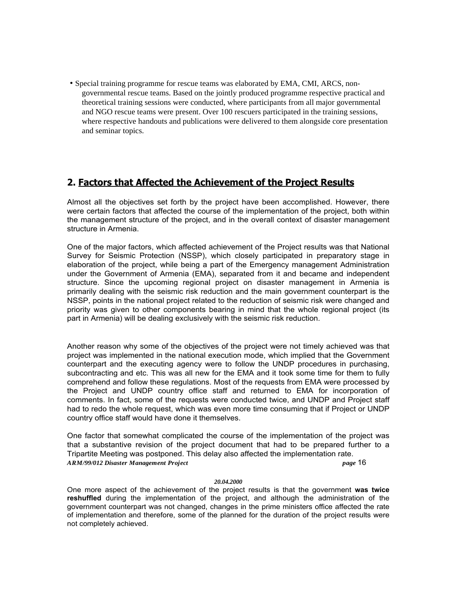• Special training programme for rescue teams was elaborated by EMA, CMI, ARCS, nongovernmental rescue teams. Based on the jointly produced programme respective practical and theoretical training sessions were conducted, where participants from all major governmental and NGO rescue teams were present. Over 100 rescuers participated in the training sessions, where respective handouts and publications were delivered to them alongside core presentation and seminar topics.

# **2. Factors that Affected the Achievement of the Project Results**

Almost all the objectives set forth by the project have been accomplished. However, there were certain factors that affected the course of the implementation of the project, both within the management structure of the project, and in the overall context of disaster management structure in Armenia.

One of the major factors, which affected achievement of the Project results was that National Survey for Seismic Protection (NSSP), which closely participated in preparatory stage in elaboration of the project, while being a part of the Emergency management Administration under the Government of Armenia (EMA), separated from it and became and independent structure. Since the upcoming regional project on disaster management in Armenia is primarily dealing with the seismic risk reduction and the main government counterpart is the NSSP, points in the national project related to the reduction of seismic risk were changed and priority was given to other components bearing in mind that the whole regional project (its part in Armenia) will be dealing exclusively with the seismic risk reduction.

Another reason why some of the objectives of the project were not timely achieved was that project was implemented in the national execution mode, which implied that the Government counterpart and the executing agency were to follow the UNDP procedures in purchasing, subcontracting and etc. This was all new for the EMA and it took some time for them to fully comprehend and follow these regulations. Most of the requests from EMA were processed by the Project and UNDP country office staff and returned to EMA for incorporation of comments. In fact, some of the requests were conducted twice, and UNDP and Project staff had to redo the whole request, which was even more time consuming that if Project or UNDP country office staff would have done it themselves.

One factor that somewhat complicated the course of the implementation of the project was that a substantive revision of the project document that had to be prepared further to a Tripartite Meeting was postponed. This delay also affected the implementation rate. *ARM/99/012 Disaster Management Project page* 16

## *20.04.2000*

One more aspect of the achievement of the project results is that the government **was twice reshuffled** during the implementation of the project, and although the administration of the government counterpart was not changed, changes in the prime ministers office affected the rate of implementation and therefore, some of the planned for the duration of the project results were not completely achieved.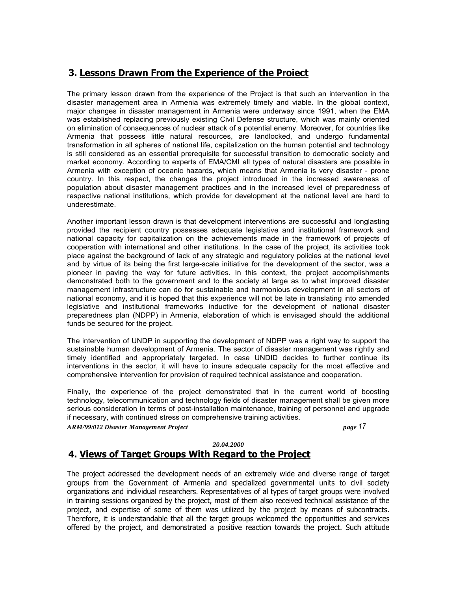# **3. Lessons Drawn From the Experience of the Proiect**

The primary lesson drawn from the experience of the Project is that such an intervention in the disaster management area in Armenia was extremely timely and viable. In the global context, major changes in disaster management in Armenia were underway since 1991, when the EMA was established replacing previously existing Civil Defense structure, which was mainly oriented on elimination of consequences of nuclear attack of a potential enemy. Moreover, for countries like Armenia that possess little natural resources, are landlocked, and undergo fundamental transformation in all spheres of national life, capitalization on the human potential and technology is still considered as an essential prerequisite for successful transition to democratic society and market economy. According to experts of EMA/CMI all types of natural disasters are possible in Armenia with exception of oceanic hazards, which means that Armenia is very disaster - prone country. In this respect, the changes the project introduced in the increased awareness of population about disaster management practices and in the increased level of preparedness of respective national institutions, which provide for development at the national level are hard to underestimate.

Another important lesson drawn is that development interventions are successful and longlasting provided the recipient country possesses adequate legislative and institutional framework and national capacity for capitalization on the achievements made in the framework of projects of cooperation with international and other institutions. In the case of the project, its activities took place against the background of lack of any strategic and regulatory policies at the national level and by virtue of its being the first large-scale initiative for the development of the sector, was a pioneer in paving the way for future activities. In this context, the project accomplishments demonstrated both to the government and to the society at large as to what improved disaster management infrastructure can do for sustainable and harmonious development in all sectors of national economy, and it is hoped that this experience will not be late in translating into amended legislative and institutional frameworks inductive for the development of national disaster preparedness plan (NDPP) in Armenia, elaboration of which is envisaged should the additional funds be secured for the project.

The intervention of UNDP in supporting the development of NDPP was a right way to support the sustainable human development of Armenia. The sector of disaster management was rightly and timely identified and appropriately targeted. In case UNDID decides to further continue its interventions in the sector, it will have to insure adequate capacity for the most effective and comprehensive intervention for provision of required technical assistance and cooperation.

Finally, the experience of the project demonstrated that in the current world of boosting technology, telecommunication and technology fields of disaster management shall be given more serious consideration in terms of post-installation maintenance, training of personnel and upgrade if necessary, with continued stress on comprehensive training activities.

*ARM/99/012 Disaster Management Project page 17*

### *20.04.2000*

# **4. Views of Target Groups With Regard to the Project**

The project addressed the development needs of an extremely wide and diverse range of target groups from the Government of Armenia and specialized governmental units to civil society organizations and individual researchers. Representatives of al types of target groups were involved in training sessions organized by the project, most of them also received technical assistance of the project, and expertise of some of them was utilized by the project by means of subcontracts. Therefore, it is understandable that all the target groups welcomed the opportunities and services offered by the project, and demonstrated a positive reaction towards the project. Such attitude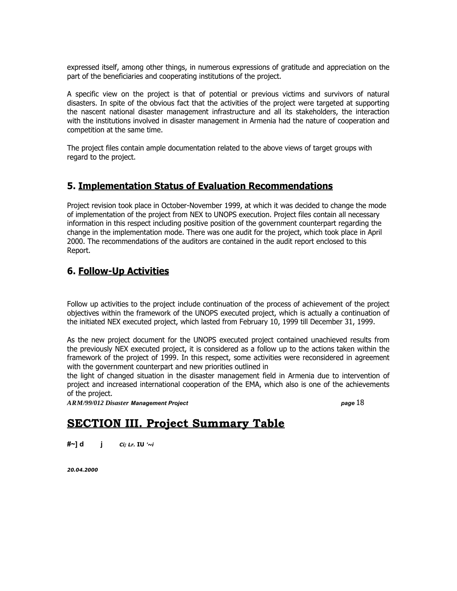expressed itself, among other things, in numerous expressions of gratitude and appreciation on the part of the beneficiaries and cooperating institutions of the project.

A specific view on the project is that of potential or previous victims and survivors of natural disasters. In spite of the obvious fact that the activities of the project were targeted at supporting the nascent national disaster management infrastructure and all its stakeholders, the interaction with the institutions involved in disaster management in Armenia had the nature of cooperation and competition at the same time.

The project files contain ample documentation related to the above views of target groups with regard to the project.

# **5. Implementation Status of Evaluation Recommendations**

Project revision took place in October-November 1999, at which it was decided to change the mode of implementation of the project from NEX to UNOPS execution. Project files contain all necessary information in this respect including positive position of the government counterpart regarding the change in the implementation mode. There was one audit for the project, which took place in April 2000. The recommendations of the auditors are contained in the audit report enclosed to this Report.

# **6. Follow-Up Activities**

Follow up activities to the project include continuation of the process of achievement of the project objectives within the framework of the UNOPS executed project, which is actually a continuation of the initiated NEX executed project, which lasted from February 10, 1999 till December 31, 1999.

As the new project document for the UNOPS executed project contained unachieved results from the previously NEX executed project, it is considered as a follow up to the actions taken within the framework of the project of 1999. In this respect, some activities were reconsidered in agreement with the government counterpart and new priorities outlined in

the light of changed situation in the disaster management field in Armenia due to intervention of project and increased international cooperation of the EMA, which also is one of the achievements of the project.

*ARM/99/012 Disaster Management Project page* 18

# **SECTION III. Project Summary Table**

**#~] d j** *Ci; Lr.* **IU** *'~i*

*20.04.2000*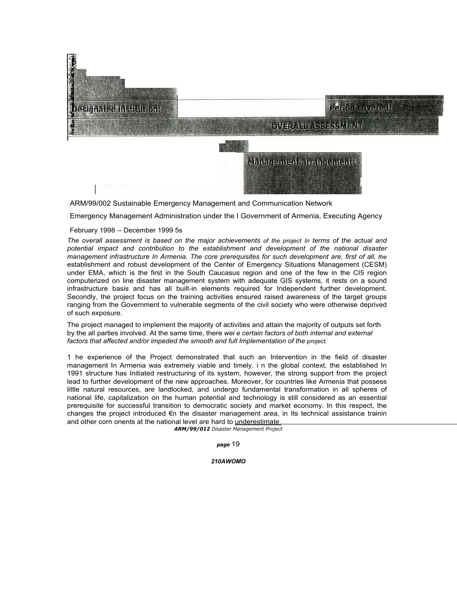# esignated Institution

# Period covered

**OVERALL ASSESSMENT** 

Management alrangement

ARM/99/002 Sustainable Emergency Management and Communication Network

Emergency Management Administration under the I Government of Armenia, Executing Agency

## February 1998 -- December 1999 5s

The overall assessment is based on the maior achievements of the project in terms of the actual and *potential impact and contribution to the establishment and development of the national disaster management infrastructure In Armenia. The core prerequisites for such development are, first of all, the* establishment and robust development of the Center of Emergency Situations Management (CESM) under EMA, which is the first in the South Caucasus region and one of the few in the CI5 region computerized on line disaster management system with adequate GIS systems, it rests on a sound infrastructure basis and has all built-in elements required for Independent further development. Secondly, the project focus on the training activities ensured raised awareness of the target groups ranging from the Government to vulnerable segments of the civil society who were otherwise deprived of such exposure.

The project managed to implement the majority of activities and attain the majority of outputs set forth by the all parties involved. At the same time, there *wei e certain factors of both internal and external* factors that affected and/or impeded the smooth and full Implementation of the project.

1 he experience of the Project demonstrated that such an Intervention in the field of disaster management In Armenia was extremely viable and timely. i n the global context, the established In 1991 structure has Initiated restructuring of its system, however, the strong support from the project lead to further development of the new approaches. Moreover, for countries like Armenia that possess little natural resources, are landlocked, and undergo fundamental transformation in all spheres of national life, capitalization on the human potential and technology is still considered as an essential prerequisite for successful transition to democratic society and market economy. In this respect, the changes the project introduced €n the disaster management area, in Its technical assistance trainin and other corn onents at the national level are hard to underestimate.

*ARM/99/012 Disaster Management Project*

*page* 19

*210AWOMO*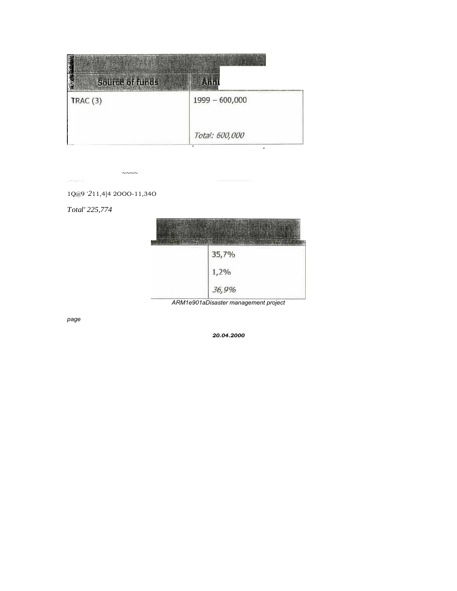| <b>DESCRIPTION</b><br><b>Source of funds</b> | Anni             |
|----------------------------------------------|------------------|
| TRAC(3)                                      | $1999 - 600,000$ |
|                                              | Total: 600,000   |

 $\sim\sim\sim\sim$ \_ .---. -.\_-...- . ~ . . - - - - - - - - - - - - - - - - - - - - . -

1Q@9 '*2*11,4]4 2OOO-11,34O

ł,

*Total' 225,774*

| 35,7% |
|-------|
| 1,2%  |
| 36,9% |

*ARM1e901aDisaster management project*

*page*

*20.04.2000*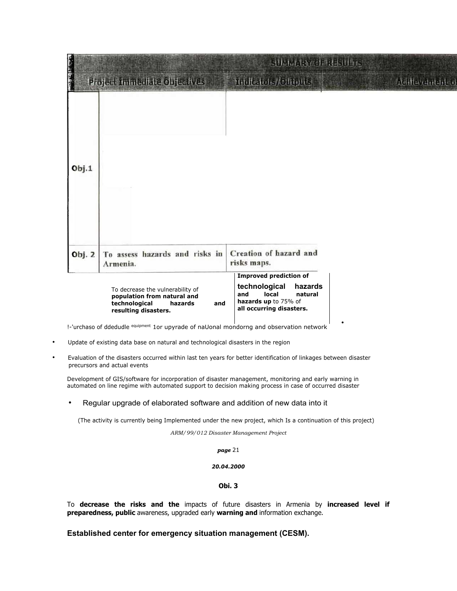|                   |                                                                                                                                                                                                                        | <b>SUMMERY OF RESULTS</b>                                                                                                                |                      |
|-------------------|------------------------------------------------------------------------------------------------------------------------------------------------------------------------------------------------------------------------|------------------------------------------------------------------------------------------------------------------------------------------|----------------------|
| <b>MANAGEMENT</b> | Project Immediate Objectives                                                                                                                                                                                           | Indicators/Officitis                                                                                                                     | Additional direction |
| Obj.1             |                                                                                                                                                                                                                        |                                                                                                                                          |                      |
| Obj. 2            | To assess hazards and risks in<br>Armenia.                                                                                                                                                                             | Creation of hazard and<br>risks maps.                                                                                                    |                      |
|                   | To decrease the vulnerability of<br>population from natural and<br>technological<br>hazards<br>and<br>resulting disasters.<br>!-'urchaso of ddedudle equipment 1or upyrade of naUonal mondorng and observation network | <b>Improved prediction of</b><br>technological<br>hazards<br>local<br>natural<br>and<br>hazards up to 75% of<br>all occurring disasters. |                      |

- Update of existing data base on natural and technological disasters in the region
- Evaluation of the disasters occurred within last ten years for better identification of linkages between disaster precursors and actual events

Development of GIS/software for incorporation of disaster management, monitoring and early warning in automated on line regime with automated support to decision making process in case of occurred disaster

• Regular upgrade of elaborated software and addition of new data into it

(The activity is currently being Implemented under the new project, which Is a continuation of this project)

*ARM/99/012 Disaster Management Project*

*page* 21

#### *20.04.2000*

## **Obi. 3**

To **decrease the risks and the** impacts of future disasters in Armenia by **increased level if preparedness, public** awareness, upgraded early **warning and** information exchange.

**Established center for emergency situation management (CESM).**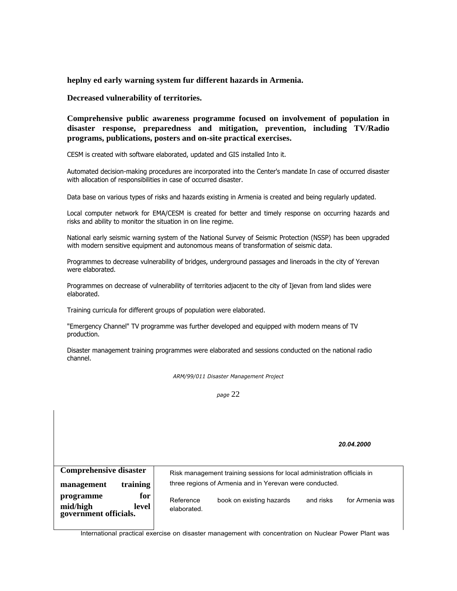**heplny ed early warning system fur different hazards in Armenia.**

## **Decreased vulnerability of territories.**

**Comprehensive public awareness programme focused on involvement of population in disaster response, preparedness and mitigation, prevention, including TV/Radio programs, publications, posters and on-site practical exercises.**

CESM is created with software elaborated, updated and GIS installed Into it.

Automated decision-making procedures are incorporated into the Center's mandate In case of occurred disaster with allocation of responsibilities in case of occurred disaster.

Data base on various types of risks and hazards existing in Armenia is created and being regularly updated.

Local computer network for EMA/CESM is created for better and timely response on occurring hazards and risks and ability to monitor the situation in on line regime.

National early seismic warning system of the National Survey of Seismic Protection (NSSP) has been upgraded with modern sensitive equipment and autonomous means of transformation of seismic data.

Programmes to decrease vulnerability of bridges, underground passages and lineroads in the city of Yerevan were elaborated.

Programmes on decrease of vulnerability of territories adjacent to the city of Ijevan from land slides were elaborated.

Training curricula for different groups of population were elaborated.

"Emergency Channel" TV programme was further developed and equipped with modern means of TV production.

Disaster management training programmes were elaborated and sessions conducted on the national radio channel.

*ARM/99/011 Disaster Management Project*

*page* 22

*20.04.2000*

| <b>Comprehensive disaster</b>                                 | Risk management training sessions for local administration officials in |                          |           |                 |
|---------------------------------------------------------------|-------------------------------------------------------------------------|--------------------------|-----------|-----------------|
| training<br>management                                        | three regions of Armenia and in Yerevan were conducted.                 |                          |           |                 |
| for<br>programme<br>mid/high legovernment officials.<br>level | Reference<br>elaborated.                                                | book on existing hazards | and risks | for Armenia was |

International practical exercise on disaster management with concentration on Nuclear Power Plant was